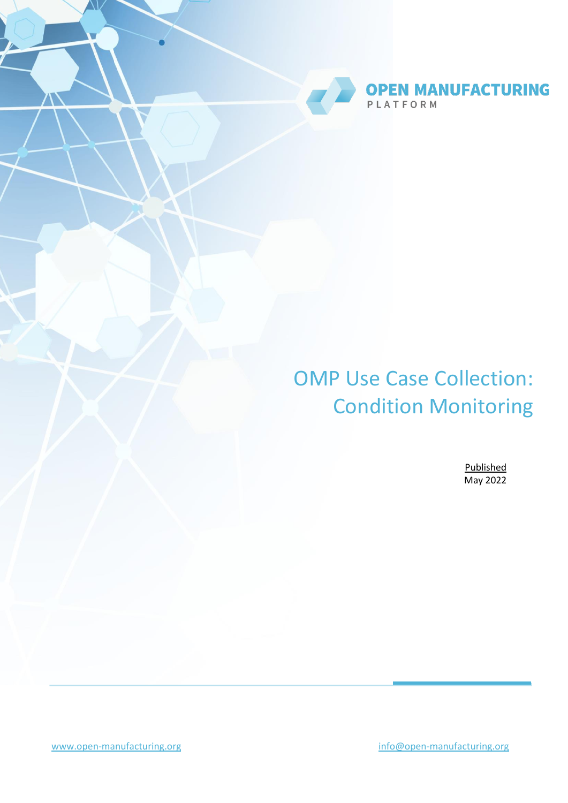

# OMP Use Case Collection: Condition Monitoring

Published May 2022

[www.open-manufacturing.org](http://www.open-manufacturing.org/) [info@open-manufacturing.org](mailto:info@open-manufacturing.org)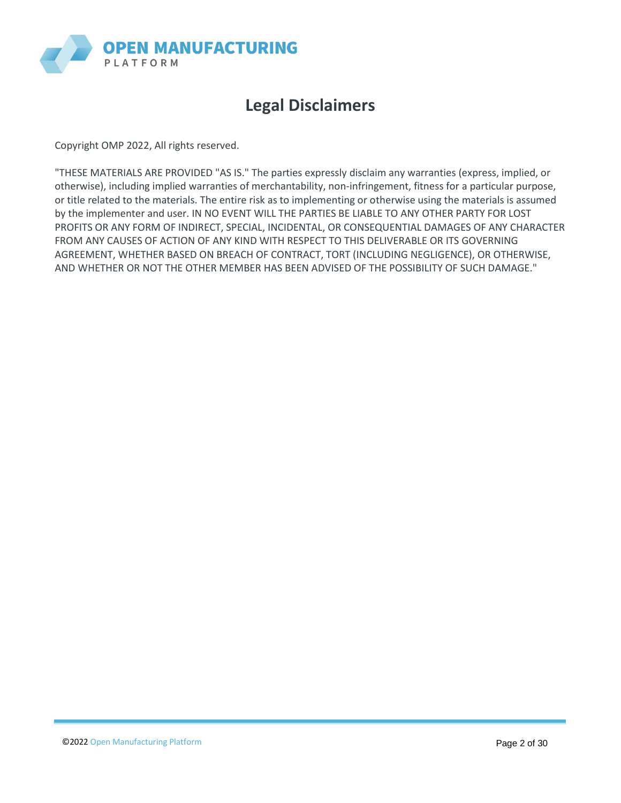

# **Legal Disclaimers**

Copyright OMP 2022, All rights reserved.

"THESE MATERIALS ARE PROVIDED "AS IS." The parties expressly disclaim any warranties (express, implied, or otherwise), including implied warranties of merchantability, non-infringement, fitness for a particular purpose, or title related to the materials. The entire risk as to implementing or otherwise using the materials is assumed by the implementer and user. IN NO EVENT WILL THE PARTIES BE LIABLE TO ANY OTHER PARTY FOR LOST PROFITS OR ANY FORM OF INDIRECT, SPECIAL, INCIDENTAL, OR CONSEQUENTIAL DAMAGES OF ANY CHARACTER FROM ANY CAUSES OF ACTION OF ANY KIND WITH RESPECT TO THIS DELIVERABLE OR ITS GOVERNING AGREEMENT, WHETHER BASED ON BREACH OF CONTRACT, TORT (INCLUDING NEGLIGENCE), OR OTHERWISE, AND WHETHER OR NOT THE OTHER MEMBER HAS BEEN ADVISED OF THE POSSIBILITY OF SUCH DAMAGE."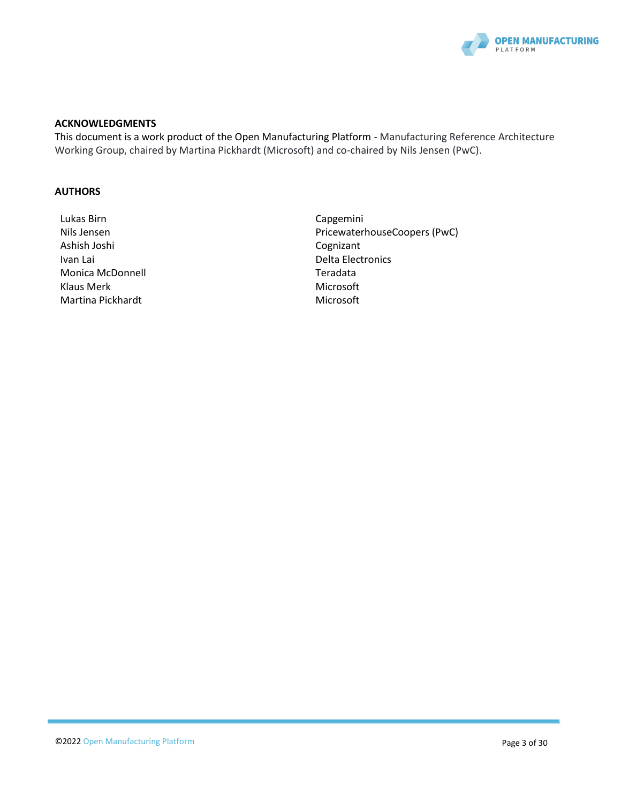

#### **ACKNOWLEDGMENTS**

This document is a work product of the Open Manufacturing Platform - Manufacturing Reference Architecture Working Group, chaired by Martina Pickhardt (Microsoft) and co-chaired by Nils Jensen (PwC).

#### **AUTHORS**

- Lukas Birn **Capgemini** Ashish Joshi Cognizant Ivan Lai **Delta Electronics** Monica McDonnell **Monica McDonnell** and Teradata Klaus Merk Microsoft Number of the Microsoft Microsoft Martina Pickhardt Microsoft Microsoft
- Nils Jensen PricewaterhouseCoopers (PwC)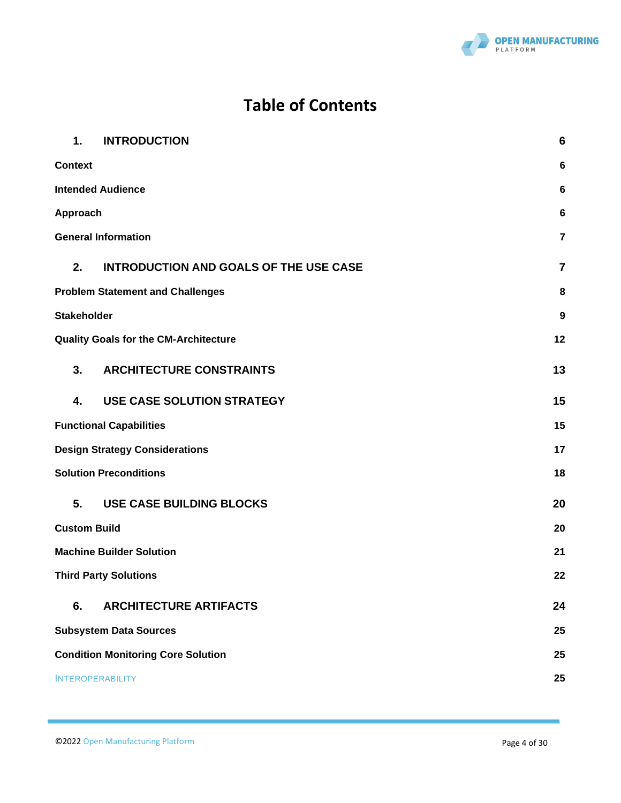

# **Table of Contents**

| 1.<br><b>INTRODUCTION</b>                           | $6\phantom{1}6$         |
|-----------------------------------------------------|-------------------------|
| <b>Context</b>                                      | 6                       |
| <b>Intended Audience</b>                            | 6                       |
| Approach                                            |                         |
| <b>General Information</b>                          | $\overline{7}$          |
| <b>INTRODUCTION AND GOALS OF THE USE CASE</b><br>2. | $\overline{\mathbf{7}}$ |
| <b>Problem Statement and Challenges</b>             |                         |
| <b>Stakeholder</b>                                  | 9                       |
| <b>Quality Goals for the CM-Architecture</b>        | 12                      |
| 3.<br><b>ARCHITECTURE CONSTRAINTS</b>               | 13                      |
| <b>USE CASE SOLUTION STRATEGY</b><br>4.             | 15                      |
| <b>Functional Capabilities</b>                      | 15                      |
| <b>Design Strategy Considerations</b>               |                         |
| <b>Solution Preconditions</b>                       | 18                      |
| 5.<br>USE CASE BUILDING BLOCKS                      | 20                      |
| <b>Custom Build</b>                                 | 20                      |
| <b>Machine Builder Solution</b>                     | 21                      |
| <b>Third Party Solutions</b>                        | 22                      |
| 6.<br><b>ARCHITECTURE ARTIFACTS</b>                 | 24                      |
| <b>Subsystem Data Sources</b>                       | 25                      |
| <b>Condition Monitoring Core Solution</b>           | 25                      |
| <b>INTEROPERABILITY</b>                             | 25                      |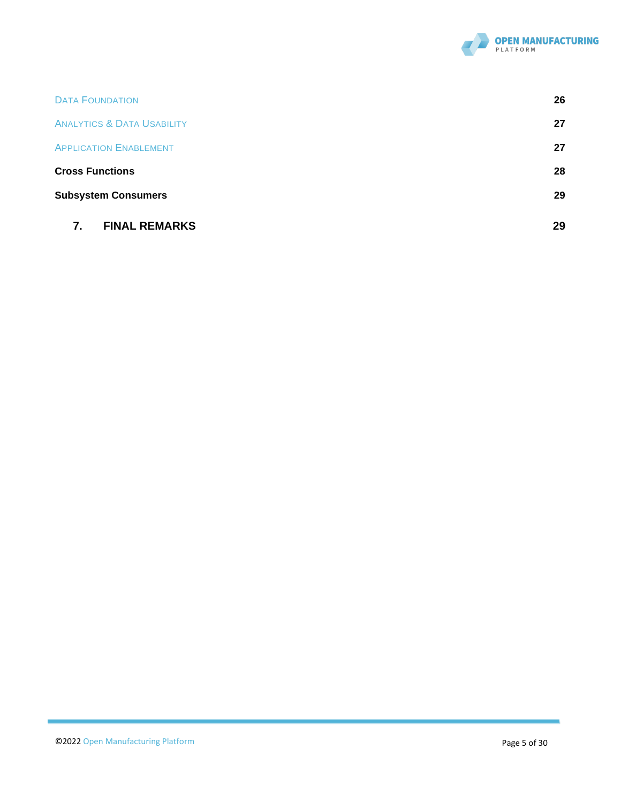

| <b>FINAL REMARKS</b><br>7.            | 29 |
|---------------------------------------|----|
| <b>Subsystem Consumers</b>            | 29 |
| <b>Cross Functions</b>                | 28 |
| <b>APPLICATION ENABLEMENT</b>         | 27 |
| <b>ANALYTICS &amp; DATA USABILITY</b> | 27 |
| <b>DATA FOUNDATION</b>                | 26 |
|                                       |    |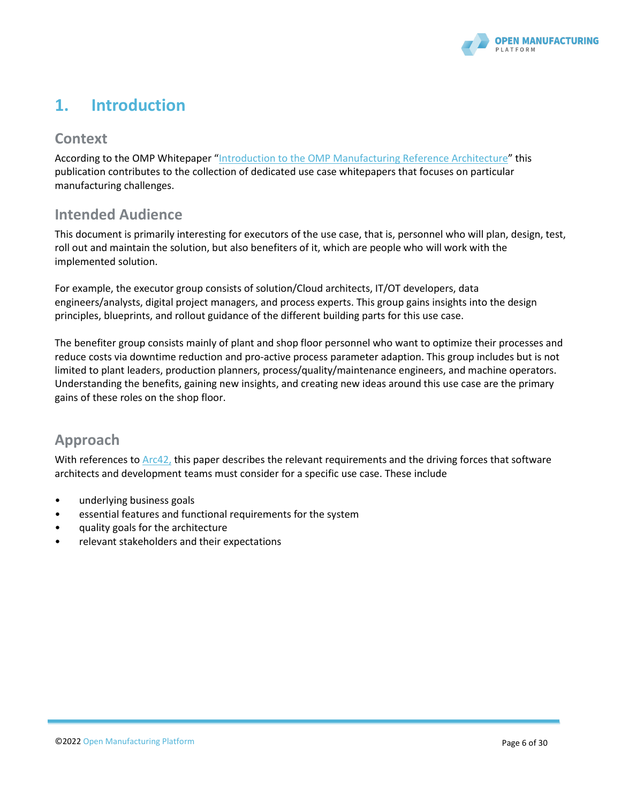

# **1. Introduction**

# **Context**

According to the OMP Whitepaper "[Introduction to the OMP Manufacturing Reference](https://open-manufacturing.org/wp-content/uploads/sites/101/2021/05/OMP_Reference_Architecture_Whitepaper-17-May-21.pdf) Architecture" this publication contributes to the collection of dedicated use case whitepapers that focuses on particular manufacturing challenges.

### **Intended Audience**

This document is primarily interesting for executors of the use case, that is, personnel who will plan, design, test, roll out and maintain the solution, but also benefiters of it, which are people who will work with the implemented solution.

For example, the executor group consists of solution/Cloud architects, IT/OT developers, data engineers/analysts, digital project managers, and process experts. This group gains insights into the design principles, blueprints, and rollout guidance of the different building parts for this use case.

The benefiter group consists mainly of plant and shop floor personnel who want to optimize their processes and reduce costs via downtime reduction and pro-active process parameter adaption. This group includes but is not limited to plant leaders, production planners, process/quality/maintenance engineers, and machine operators. Understanding the benefits, gaining new insights, and creating new ideas around this use case are the primary gains of these roles on the shop floor.

### **Approach**

With references to [Arc42,](https://arc42.org/) this paper describes the relevant requirements and the driving forces that software architects and development teams must consider for a specific use case. These include

- underlying business goals
- essential features and functional requirements for the system
- quality goals for the architecture
- relevant stakeholders and their expectations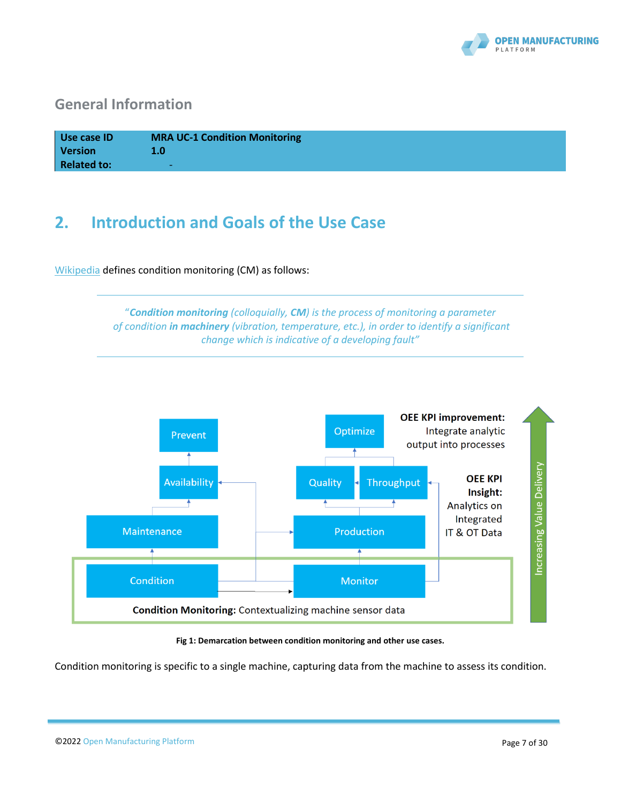

# **General Information**

| Use case ID        | <b>MRA UC-1 Condition Monitoring</b> |
|--------------------|--------------------------------------|
| <b>Version</b>     | 1.0                                  |
| <b>Related to:</b> | $\overline{\phantom{0}}$             |

# <span id="page-6-0"></span>**2. Introduction and Goals of the Use Case**

[Wikipedia](https://en.wikipedia.org/wiki/Condition_monitoring) defines condition monitoring (CM) as follows:





#### **Fig 1: Demarcation between condition monitoring and other use cases.**

Condition monitoring is specific to a single machine, capturing data from the machine to assess its condition.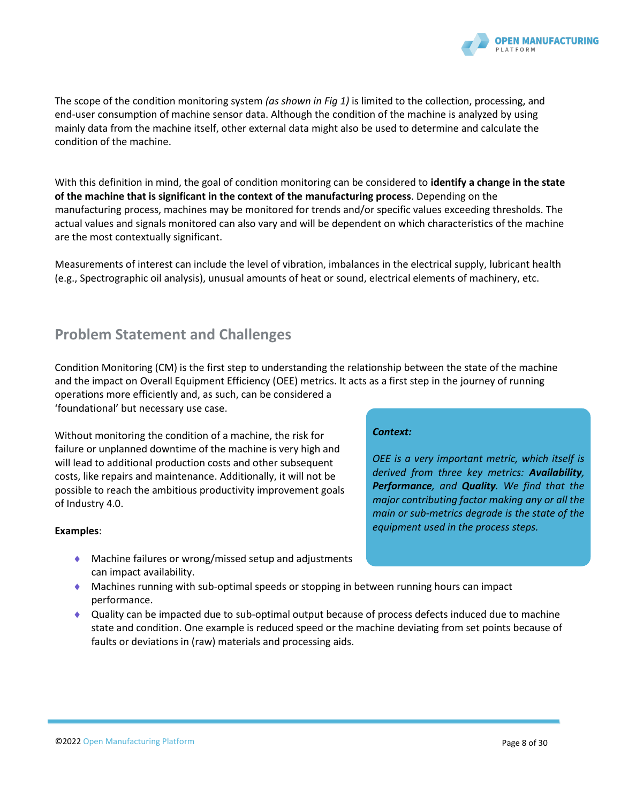

The scope of the condition monitoring system *(as shown in Fig 1)* is limited to the collection, processing, and end-user consumption of machine sensor data. Although the condition of the machine is analyzed by using mainly data from the machine itself, other external data might also be used to determine and calculate the condition of the machine.

With this definition in mind, the goal of condition monitoring can be considered to **identify a change in the state of the machine that is significant in the context of the manufacturing process**. Depending on the manufacturing process, machines may be monitored for trends and/or specific values exceeding thresholds. The actual values and signals monitored can also vary and will be dependent on which characteristics of the machine are the most contextually significant.

Measurements of interest can include the level of vibration, imbalances in the electrical supply, lubricant health (e.g., Spectrographic oil analysis), unusual amounts of heat or sound, electrical elements of machinery, etc.

# **Problem Statement and Challenges**

Condition Monitoring (CM) is the first step to understanding the relationship between the state of the machine and the impact on Overall Equipment Efficiency (OEE) metrics. It acts as a first step in the journey of running operations more efficiently and, as such, can be considered a

'foundational' but necessary use case.

Without monitoring the condition of a machine, the risk for failure or unplanned downtime of the machine is very high and will lead to additional production costs and other subsequent costs, like repairs and maintenance. Additionally, it will not be possible to reach the ambitious productivity improvement goals of Industry 4.0.

#### **Examples**:

- ◆ Machine failures or wrong/missed setup and adjustments can impact availability.
- Machines running with sub-optimal speeds or stopping in between running hours can impact performance.
- Quality can be impacted due to sub-optimal output because of process defects induced due to machine state and condition. One example is reduced speed or the machine deviating from set points because of faults or deviations in (raw) materials and processing aids.

#### *Context:*

*OEE is a very important metric, which itself is derived from three key metrics: Availability, Performance, and Quality. We find that the major contributing factor making any or all the main or sub-metrics degrade is the state of the equipment used in the process steps.*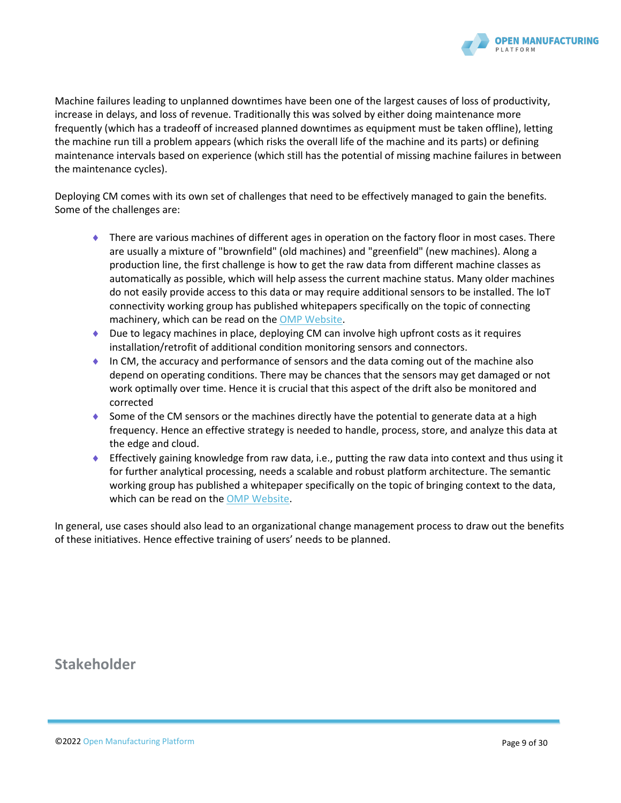

Machine failures leading to unplanned downtimes have been one of the largest causes of loss of productivity, increase in delays, and loss of revenue. Traditionally this was solved by either doing maintenance more frequently (which has a tradeoff of increased planned downtimes as equipment must be taken offline), letting the machine run till a problem appears (which risks the overall life of the machine and its parts) or defining maintenance intervals based on experience (which still has the potential of missing machine failures in between the maintenance cycles).

Deploying CM comes with its own set of challenges that need to be effectively managed to gain the benefits. Some of the challenges are:

- There are various machines of different ages in operation on the factory floor in most cases. There are usually a mixture of "brownfield" (old machines) and "greenfield" (new machines). Along a production line, the first challenge is how to get the raw data from different machine classes as automatically as possible, which will help assess the current machine status. Many older machines do not easily provide access to this data or may require additional sensors to be installed. The IoT connectivity working group has published whitepapers specifically on the topic of connecting machinery, which can be read on th[e OMP Website.](https://open-manufacturing.org/wp-content/uploads/sites/101/2020/12/OMP-IIoT-Connectivity-White-Paper-20201207.pdf)
- ◆ Due to legacy machines in place, deploying CM can involve high upfront costs as it requires installation/retrofit of additional condition monitoring sensors and connectors.
- In CM, the accuracy and performance of sensors and the data coming out of the machine also depend on operating conditions. There may be chances that the sensors may get damaged or not work optimally over time. Hence it is crucial that this aspect of the drift also be monitored and corrected
- $\bullet$  Some of the CM sensors or the machines directly have the potential to generate data at a high frequency. Hence an effective strategy is needed to handle, process, store, and analyze this data at the edge and cloud.
- Effectively gaining knowledge from raw data, i.e., putting the raw data into context and thus using it for further analytical processing, needs a scalable and robust platform architecture. The semantic working group has published a whitepaper specifically on the topic of bringing context to the data, which can be read on th[e OMP Website.](https://open-manufacturing.org/wp-content/uploads/sites/101/2021/09/OMP-Semantic-Data-Structuring-Whitepaper.pdf)

In general, use cases should also lead to an organizational change management process to draw out the benefits of these initiatives. Hence effective training of users' needs to be planned.

**Stakeholder**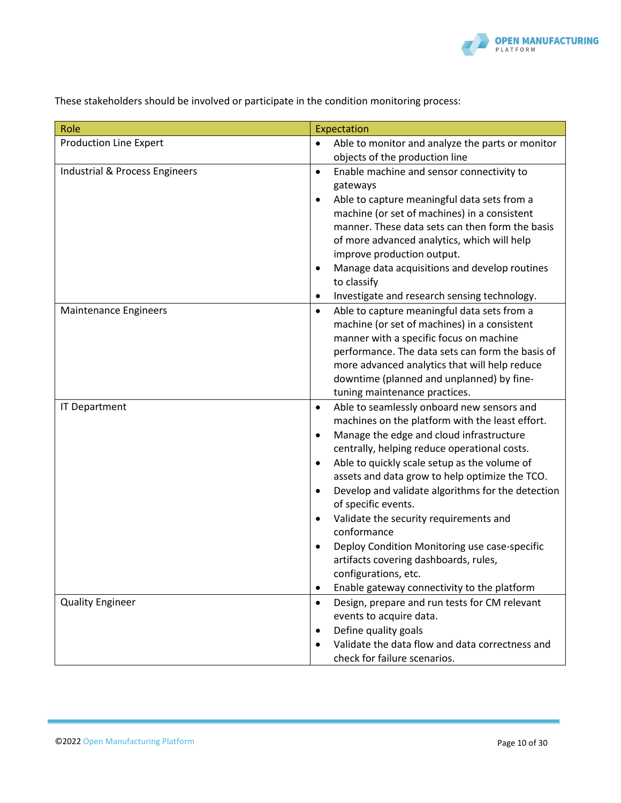

These stakeholders should be involved or participate in the condition monitoring process:

| Role                           | Expectation                                                                                                                                                                                                                                                                                                                                                                                                                                                                                                                                                                                                                                                                                  |
|--------------------------------|----------------------------------------------------------------------------------------------------------------------------------------------------------------------------------------------------------------------------------------------------------------------------------------------------------------------------------------------------------------------------------------------------------------------------------------------------------------------------------------------------------------------------------------------------------------------------------------------------------------------------------------------------------------------------------------------|
| <b>Production Line Expert</b>  | Able to monitor and analyze the parts or monitor<br>$\bullet$<br>objects of the production line                                                                                                                                                                                                                                                                                                                                                                                                                                                                                                                                                                                              |
| Industrial & Process Engineers | Enable machine and sensor connectivity to<br>$\bullet$<br>gateways<br>Able to capture meaningful data sets from a<br>$\bullet$<br>machine (or set of machines) in a consistent<br>manner. These data sets can then form the basis<br>of more advanced analytics, which will help<br>improve production output.<br>Manage data acquisitions and develop routines<br>$\bullet$<br>to classify<br>Investigate and research sensing technology.<br>٠                                                                                                                                                                                                                                             |
| Maintenance Engineers          | Able to capture meaningful data sets from a<br>$\bullet$<br>machine (or set of machines) in a consistent<br>manner with a specific focus on machine<br>performance. The data sets can form the basis of<br>more advanced analytics that will help reduce<br>downtime (planned and unplanned) by fine-<br>tuning maintenance practices.                                                                                                                                                                                                                                                                                                                                                       |
| <b>IT Department</b>           | Able to seamlessly onboard new sensors and<br>$\bullet$<br>machines on the platform with the least effort.<br>Manage the edge and cloud infrastructure<br>$\bullet$<br>centrally, helping reduce operational costs.<br>Able to quickly scale setup as the volume of<br>$\bullet$<br>assets and data grow to help optimize the TCO.<br>Develop and validate algorithms for the detection<br>$\bullet$<br>of specific events.<br>Validate the security requirements and<br>$\bullet$<br>conformance<br>Deploy Condition Monitoring use case-specific<br>$\bullet$<br>artifacts covering dashboards, rules,<br>configurations, etc.<br>Enable gateway connectivity to the platform<br>$\bullet$ |
| <b>Quality Engineer</b>        | Design, prepare and run tests for CM relevant<br>$\bullet$<br>events to acquire data.<br>Define quality goals<br>$\bullet$<br>Validate the data flow and data correctness and<br>$\bullet$<br>check for failure scenarios.                                                                                                                                                                                                                                                                                                                                                                                                                                                                   |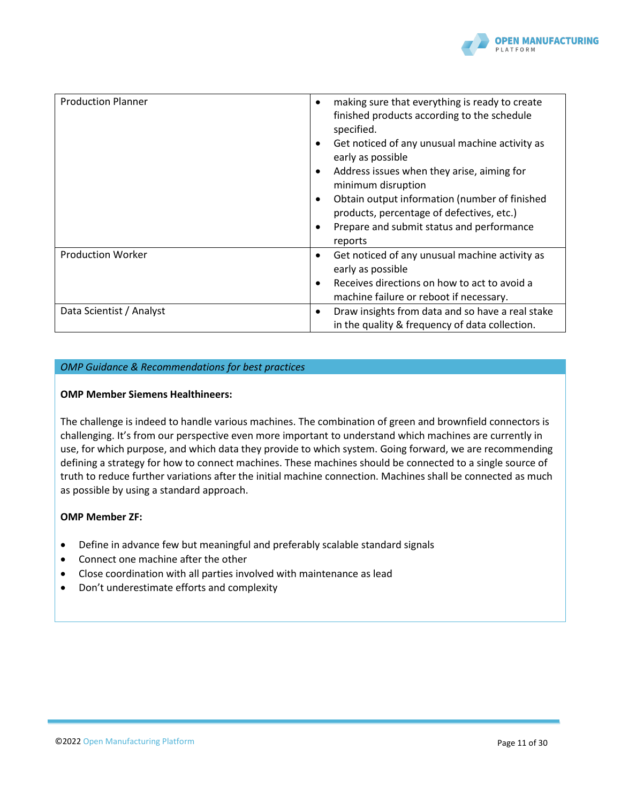

| <b>Production Planner</b> | making sure that everything is ready to create<br>$\bullet$<br>finished products according to the schedule<br>specified.<br>Get noticed of any unusual machine activity as<br>$\bullet$<br>early as possible<br>Address issues when they arise, aiming for<br>$\bullet$<br>minimum disruption<br>Obtain output information (number of finished<br>$\bullet$<br>products, percentage of defectives, etc.)<br>Prepare and submit status and performance<br>$\bullet$<br>reports |
|---------------------------|-------------------------------------------------------------------------------------------------------------------------------------------------------------------------------------------------------------------------------------------------------------------------------------------------------------------------------------------------------------------------------------------------------------------------------------------------------------------------------|
| <b>Production Worker</b>  | Get noticed of any unusual machine activity as<br>$\bullet$<br>early as possible<br>Receives directions on how to act to avoid a<br>$\bullet$<br>machine failure or reboot if necessary.                                                                                                                                                                                                                                                                                      |
| Data Scientist / Analyst  | Draw insights from data and so have a real stake<br>$\bullet$<br>in the quality & frequency of data collection.                                                                                                                                                                                                                                                                                                                                                               |

#### *OMP Guidance & Recommendations for best practices*

#### **OMP Member Siemens Healthineers:**

The challenge is indeed to handle various machines. The combination of green and brownfield connectors is challenging. It's from our perspective even more important to understand which machines are currently in use, for which purpose, and which data they provide to which system. Going forward, we are recommending defining a strategy for how to connect machines. These machines should be connected to a single source of truth to reduce further variations after the initial machine connection. Machines shall be connected as much as possible by using a standard approach.

#### **OMP Member ZF:**

- Define in advance few but meaningful and preferably scalable standard signals
- Connect one machine after the other
- Close coordination with all parties involved with maintenance as lead
- Don't underestimate efforts and complexity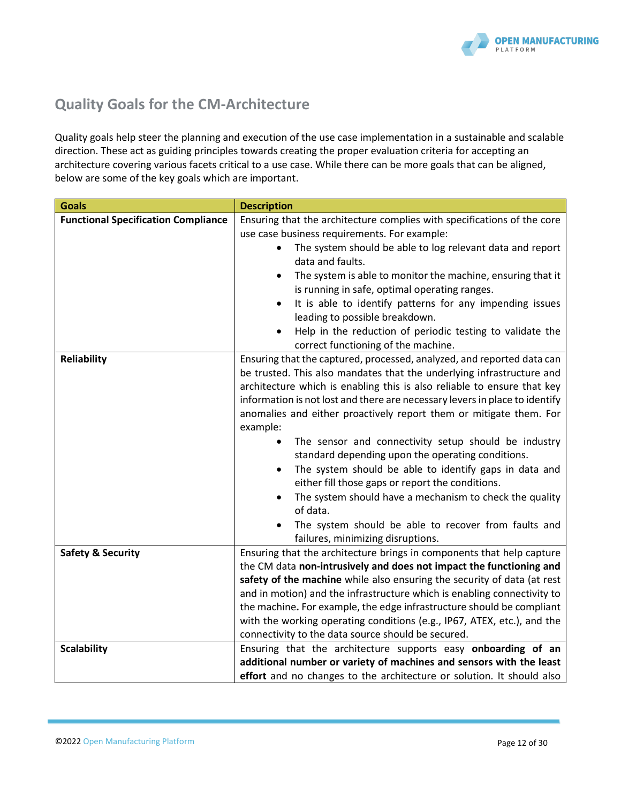

# <span id="page-11-0"></span>**Quality Goals for the CM-Architecture**

Quality goals help steer the planning and execution of the use case implementation in a sustainable and scalable direction. These act as guiding principles towards creating the proper evaluation criteria for accepting an architecture covering various facets critical to a use case. While there can be more goals that can be aligned, below are some of the key goals which are important.

| <b>Goals</b>                               | <b>Description</b>                                                                                                                             |  |
|--------------------------------------------|------------------------------------------------------------------------------------------------------------------------------------------------|--|
| <b>Functional Specification Compliance</b> | Ensuring that the architecture complies with specifications of the core                                                                        |  |
|                                            | use case business requirements. For example:                                                                                                   |  |
|                                            | The system should be able to log relevant data and report                                                                                      |  |
|                                            | data and faults.                                                                                                                               |  |
|                                            | The system is able to monitor the machine, ensuring that it                                                                                    |  |
|                                            | is running in safe, optimal operating ranges.                                                                                                  |  |
|                                            | It is able to identify patterns for any impending issues                                                                                       |  |
|                                            | leading to possible breakdown.                                                                                                                 |  |
|                                            | Help in the reduction of periodic testing to validate the<br>correct functioning of the machine.                                               |  |
| <b>Reliability</b>                         | Ensuring that the captured, processed, analyzed, and reported data can                                                                         |  |
|                                            | be trusted. This also mandates that the underlying infrastructure and                                                                          |  |
|                                            | architecture which is enabling this is also reliable to ensure that key                                                                        |  |
|                                            | information is not lost and there are necessary levers in place to identify                                                                    |  |
|                                            | anomalies and either proactively report them or mitigate them. For                                                                             |  |
|                                            | example:                                                                                                                                       |  |
|                                            | The sensor and connectivity setup should be industry                                                                                           |  |
|                                            | standard depending upon the operating conditions.                                                                                              |  |
|                                            | The system should be able to identify gaps in data and                                                                                         |  |
|                                            | either fill those gaps or report the conditions.                                                                                               |  |
|                                            | The system should have a mechanism to check the quality                                                                                        |  |
|                                            | of data.                                                                                                                                       |  |
|                                            | The system should be able to recover from faults and                                                                                           |  |
| <b>Safety &amp; Security</b>               | failures, minimizing disruptions.<br>Ensuring that the architecture brings in components that help capture                                     |  |
|                                            |                                                                                                                                                |  |
|                                            | the CM data non-intrusively and does not impact the functioning and<br>safety of the machine while also ensuring the security of data (at rest |  |
|                                            | and in motion) and the infrastructure which is enabling connectivity to                                                                        |  |
|                                            | the machine. For example, the edge infrastructure should be compliant                                                                          |  |
|                                            | with the working operating conditions (e.g., IP67, ATEX, etc.), and the                                                                        |  |
|                                            | connectivity to the data source should be secured.                                                                                             |  |
| <b>Scalability</b>                         | Ensuring that the architecture supports easy onboarding of an                                                                                  |  |
|                                            | additional number or variety of machines and sensors with the least                                                                            |  |
|                                            | effort and no changes to the architecture or solution. It should also                                                                          |  |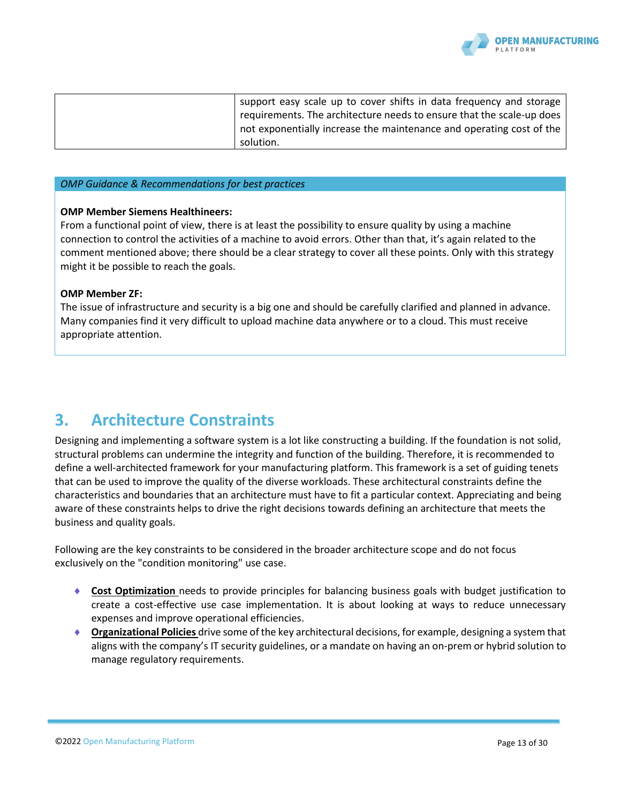

| support easy scale up to cover shifts in data frequency and storage<br>requirements. The architecture needs to ensure that the scale-up does |
|----------------------------------------------------------------------------------------------------------------------------------------------|
| not exponentially increase the maintenance and operating cost of the<br>solution.                                                            |

#### *OMP Guidance & Recommendations for best practices*

#### **OMP Member Siemens Healthineers:**

From a functional point of view, there is at least the possibility to ensure quality by using a machine connection to control the activities of a machine to avoid errors. Other than that, it's again related to the comment mentioned above; there should be a clear strategy to cover all these points. Only with this strategy might it be possible to reach the goals.

#### **OMP Member ZF:**

The issue of infrastructure and security is a big one and should be carefully clarified and planned in advance. Many companies find it very difficult to upload machine data anywhere or to a cloud. This must receive appropriate attention.

# **3. Architecture Constraints**

Designing and implementing a software system is a lot like constructing a building. If the foundation is not solid, structural problems can undermine the integrity and function of the building. Therefore, it is recommended to define a well-architected framework for your manufacturing platform. This framework is a set of guiding tenets that can be used to improve the quality of the diverse workloads. These architectural constraints define the characteristics and boundaries that an architecture must have to fit a particular context. Appreciating and being aware of these constraints helps to drive the right decisions towards defining an architecture that meets the business and quality goals.

Following are the key constraints to be considered in the broader architecture scope and do not focus exclusively on the "condition monitoring" use case.

- **Cost Optimization** needs to provide principles for balancing business goals with budget justification to create a cost-effective use case implementation. It is about looking at ways to reduce unnecessary expenses and improve operational efficiencies.
- **Organizational Policies** drive some of the key architectural decisions, for example, designing a system that aligns with the company's IT security guidelines, or a mandate on having an on-prem or hybrid solution to manage regulatory requirements.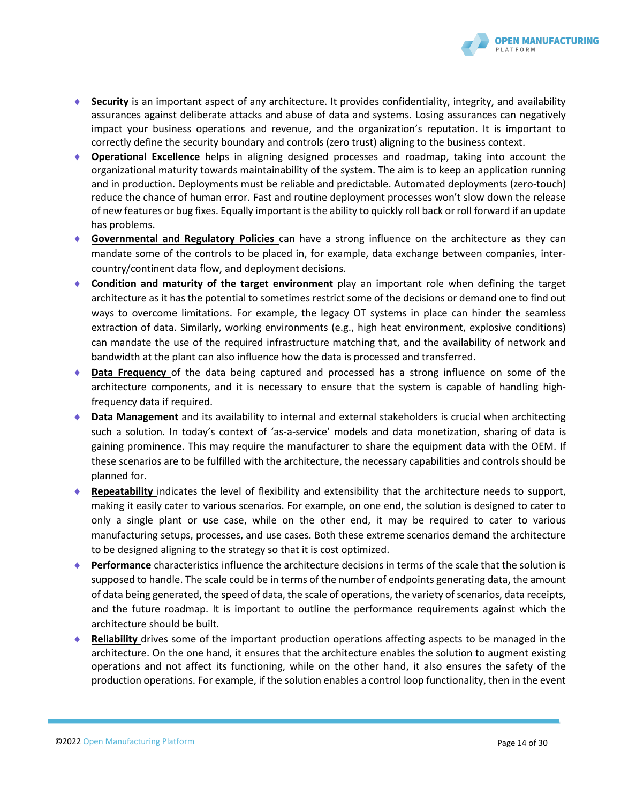

- ◆ **Security** is an important aspect of any architecture. It provides confidentiality, integrity, and availability assurances against deliberate attacks and abuse of data and systems. Losing assurances can negatively impact your business operations and revenue, and the organization's reputation. It is important to correctly define the security boundary and controls (zero trust) aligning to the business context.
- **Operational Excellence** helps in aligning designed processes and roadmap, taking into account the organizational maturity towards maintainability of the system. The aim is to keep an application running and in production. Deployments must be reliable and predictable. Automated deployments (zero-touch) reduce the chance of human error. Fast and routine deployment processes won't slow down the release of new features or bug fixes. Equally important is the ability to quickly roll back or roll forward if an update has problems.
- **Governmental and Regulatory Policies** can have a strong influence on the architecture as they can mandate some of the controls to be placed in, for example, data exchange between companies, intercountry/continent data flow, and deployment decisions.
- **Condition and maturity of the target environment** play an important role when defining the target architecture as it has the potential to sometimes restrict some of the decisions or demand one to find out ways to overcome limitations. For example, the legacy OT systems in place can hinder the seamless extraction of data. Similarly, working environments (e.g., high heat environment, explosive conditions) can mandate the use of the required infrastructure matching that, and the availability of network and bandwidth at the plant can also influence how the data is processed and transferred.
- **Data Frequency** of the data being captured and processed has a strong influence on some of the architecture components, and it is necessary to ensure that the system is capable of handling highfrequency data if required.
- **Data Management** and its availability to internal and external stakeholders is crucial when architecting such a solution. In today's context of 'as-a-service' models and data monetization, sharing of data is gaining prominence. This may require the manufacturer to share the equipment data with the OEM. If these scenarios are to be fulfilled with the architecture, the necessary capabilities and controls should be planned for.
- **Repeatability** indicates the level of flexibility and extensibility that the architecture needs to support, making it easily cater to various scenarios. For example, on one end, the solution is designed to cater to only a single plant or use case, while on the other end, it may be required to cater to various manufacturing setups, processes, and use cases. Both these extreme scenarios demand the architecture to be designed aligning to the strategy so that it is cost optimized.
- **Performance** characteristics influence the architecture decisions in terms of the scale that the solution is supposed to handle. The scale could be in terms of the number of endpoints generating data, the amount of data being generated, the speed of data, the scale of operations, the variety of scenarios, data receipts, and the future roadmap. It is important to outline the performance requirements against which the architecture should be built.
- **Reliability** drives some of the important production operations affecting aspects to be managed in the architecture. On the one hand, it ensures that the architecture enables the solution to augment existing operations and not affect its functioning, while on the other hand, it also ensures the safety of the production operations. For example, if the solution enables a control loop functionality, then in the event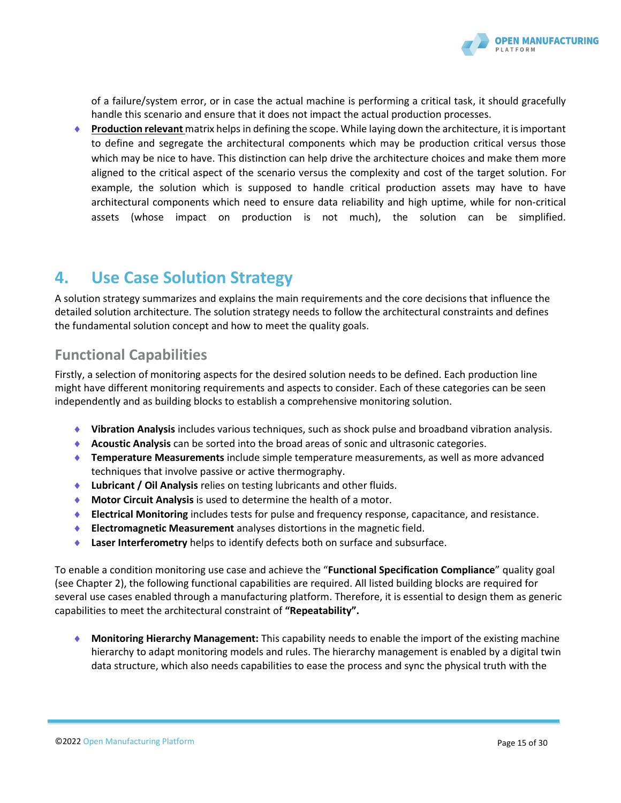

of a failure/system error, or in case the actual machine is performing a critical task, it should gracefully handle this scenario and ensure that it does not impact the actual production processes.

 **Production relevant** matrix helpsin defining the scope. While laying down the architecture, it is important to define and segregate the architectural components which may be production critical versus those which may be nice to have. This distinction can help drive the architecture choices and make them more aligned to the critical aspect of the scenario versus the complexity and cost of the target solution. For example, the solution which is supposed to handle critical production assets may have to have architectural components which need to ensure data reliability and high uptime, while for non-critical assets (whose impact on production is not much), the solution can be simplified.

# **4. Use Case Solution Strategy**

A solution strategy summarizes and explains the main requirements and the core decisions that influence the detailed solution architecture. The solution strategy needs to follow the architectural constraints and defines the fundamental solution concept and how to meet the quality goals.

# **Functional Capabilities**

Firstly, a selection of monitoring aspects for the desired solution needs to be defined. Each production line might have different monitoring requirements and aspects to consider. Each of these categories can be seen independently and as building blocks to establish a comprehensive monitoring solution.

- **Vibration Analysis** includes various techniques, such as shock pulse and broadband vibration analysis.
- **Acoustic Analysis** can be sorted into the broad areas of sonic and ultrasonic categories.
- **Temperature Measurements** include simple temperature measurements, as well as more advanced techniques that involve passive or active thermography.
- **Lubricant / Oil Analysis** relies on testing lubricants and other fluids.
- **Motor Circuit Analysis** is used to determine the health of a motor.
- **Electrical Monitoring** includes tests for pulse and frequency response, capacitance, and resistance.
- **Electromagnetic Measurement** analyses distortions in the magnetic field.
- **Laser Interferometry** helps to identify defects both on surface and subsurface.

To enable a condition monitoring use case and achieve the "**Functional Specification Compliance**" quality goal (see Chapter 2), the following functional capabilities are required. All listed building blocks are required for several use cases enabled through a manufacturing platform. Therefore, it is essential to design them as generic capabilities to meet the architectural constraint of **"Repeatability".**

 **Monitoring Hierarchy Management:** This capability needs to enable the import of the existing machine hierarchy to adapt monitoring models and rules. The hierarchy management is enabled by a digital twin data structure, which also needs capabilities to ease the process and sync the physical truth with the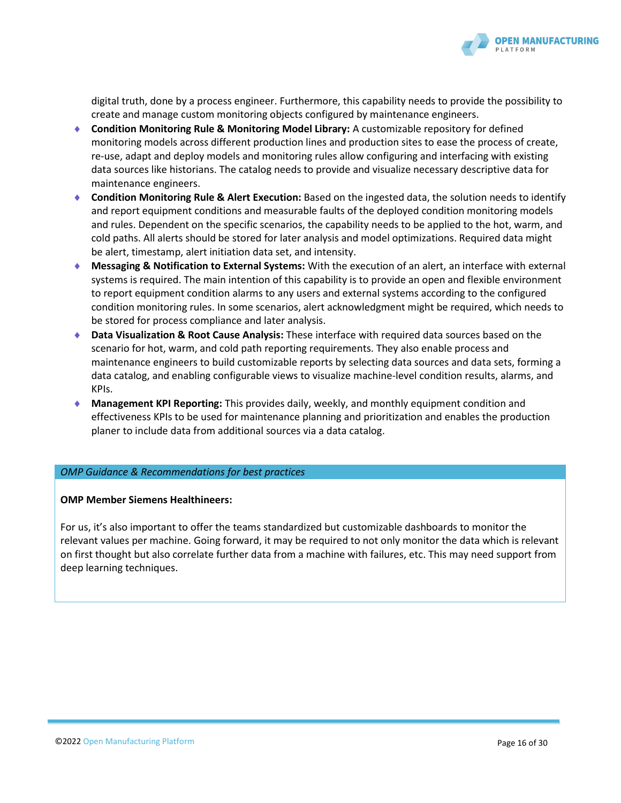

digital truth, done by a process engineer. Furthermore, this capability needs to provide the possibility to create and manage custom monitoring objects configured by maintenance engineers.

- **Condition Monitoring Rule & Monitoring Model Library:** A customizable repository for defined monitoring models across different production lines and production sites to ease the process of create, re-use, adapt and deploy models and monitoring rules allow configuring and interfacing with existing data sources like historians. The catalog needs to provide and visualize necessary descriptive data for maintenance engineers.
- **Condition Monitoring Rule & Alert Execution:** Based on the ingested data, the solution needs to identify and report equipment conditions and measurable faults of the deployed condition monitoring models and rules. Dependent on the specific scenarios, the capability needs to be applied to the hot, warm, and cold paths. All alerts should be stored for later analysis and model optimizations. Required data might be alert, timestamp, alert initiation data set, and intensity.
- **Messaging & Notification to External Systems:** With the execution of an alert, an interface with external systems is required. The main intention of this capability is to provide an open and flexible environment to report equipment condition alarms to any users and external systems according to the configured condition monitoring rules. In some scenarios, alert acknowledgment might be required, which needs to be stored for process compliance and later analysis.
- **Data Visualization & Root Cause Analysis:** These interface with required data sources based on the scenario for hot, warm, and cold path reporting requirements. They also enable process and maintenance engineers to build customizable reports by selecting data sources and data sets, forming a data catalog, and enabling configurable views to visualize machine-level condition results, alarms, and KPIs.
- **Management KPI Reporting:** This provides daily, weekly, and monthly equipment condition and effectiveness KPIs to be used for maintenance planning and prioritization and enables the production planer to include data from additional sources via a data catalog.

#### *OMP Guidance & Recommendations for best practices*

#### **OMP Member Siemens Healthineers:**

For us, it's also important to offer the teams standardized but customizable dashboards to monitor the relevant values per machine. Going forward, it may be required to not only monitor the data which is relevant on first thought but also correlate further data from a machine with failures, etc. This may need support from deep learning techniques.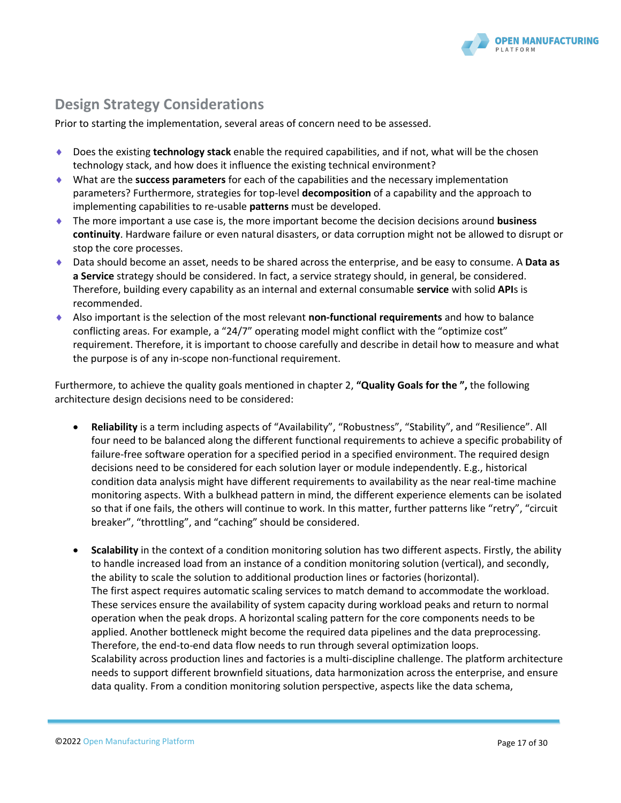

# **Design Strategy Considerations**

Prior to starting the implementation, several areas of concern need to be assessed.

- ◆ Does the existing **technology stack** enable the required capabilities, and if not, what will be the chosen technology stack, and how does it influence the existing technical environment?
- What are the **success parameters** for each of the capabilities and the necessary implementation parameters? Furthermore, strategies for top-level **decomposition** of a capability and the approach to implementing capabilities to re-usable **patterns** must be developed.
- The more important a use case is, the more important become the decision decisions around **business continuity**. Hardware failure or even natural disasters, or data corruption might not be allowed to disrupt or stop the core processes.
- Data should become an asset, needs to be shared across the enterprise, and be easy to consume. A **Data as a Service** strategy should be considered. In fact, a service strategy should, in general, be considered. Therefore, building every capability as an internal and external consumable **service** with solid **API**s is recommended.
- Also important is the selection of the most relevant **non-functional requirements** and how to balance conflicting areas. For example, a "24/7" operating model might conflict with the "optimize cost" requirement. Therefore, it is important to choose carefully and describe in detail how to measure and what the purpose is of any in-scope non-functional requirement.

Furthermore, to achieve the quality goals mentioned in chapter 2, **"[Quality Goals](#page-11-0) for the ",** the following architecture design decisions need to be considered:

- **Reliability** is a term including aspects of "Availability", "Robustness", "Stability", and "Resilience". All four need to be balanced along the different functional requirements to achieve a specific probability of failure-free software operation for a specified period in a specified environment. The required design decisions need to be considered for each solution layer or module independently. E.g., historical condition data analysis might have different requirements to availability as the near real-time machine monitoring aspects. With a bulkhead pattern in mind, the different experience elements can be isolated so that if one fails, the others will continue to work. In this matter, further patterns like "retry", "circuit breaker", "throttling", and "caching" should be considered.
- **Scalability** in the context of a condition monitoring solution has two different aspects. Firstly, the ability to handle increased load from an instance of a condition monitoring solution (vertical), and secondly, the ability to scale the solution to additional production lines or factories (horizontal). The first aspect requires automatic scaling services to match demand to accommodate the workload. These services ensure the availability of system capacity during workload peaks and return to normal operation when the peak drops. A horizontal scaling pattern for the core components needs to be applied. Another bottleneck might become the required data pipelines and the data preprocessing. Therefore, the end-to-end data flow needs to run through several optimization loops. Scalability across production lines and factories is a multi-discipline challenge. The platform architecture needs to support different brownfield situations, data harmonization across the enterprise, and ensure data quality. From a condition monitoring solution perspective, aspects like the data schema,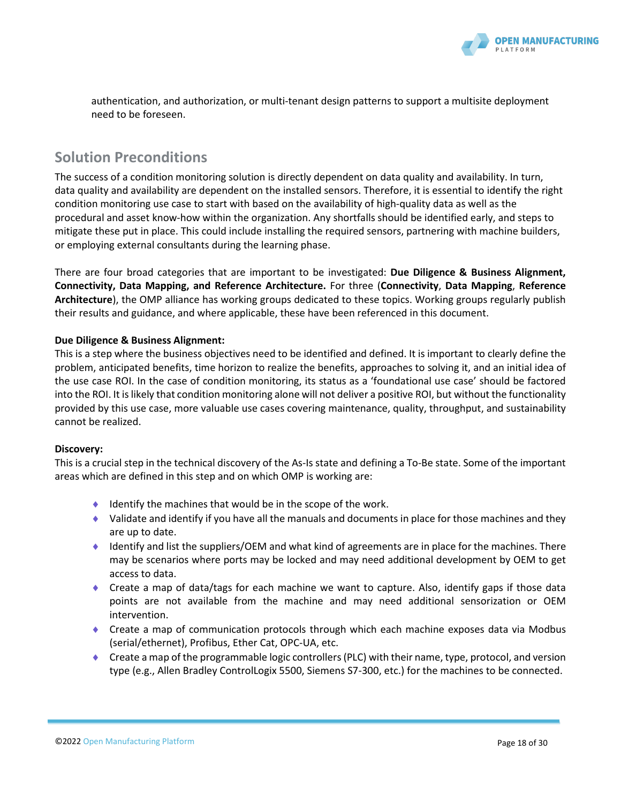

authentication, and authorization, or multi-tenant design patterns to support a multisite deployment need to be foreseen.

### **Solution Preconditions**

The success of a condition monitoring solution is directly dependent on data quality and availability. In turn, data quality and availability are dependent on the installed sensors. Therefore, it is essential to identify the right condition monitoring use case to start with based on the availability of high-quality data as well as the procedural and asset know-how within the organization. Any shortfalls should be identified early, and steps to mitigate these put in place. This could include installing the required sensors, partnering with machine builders, or employing external consultants during the learning phase.

There are four broad categories that are important to be investigated: **Due Diligence & Business Alignment, Connectivity, Data Mapping, and Reference Architecture.** For three (**Connectivity**, **Data Mapping**, **Reference Architecture**), the OMP alliance has working groups dedicated to these topics. Working groups regularly publish their results and guidance, and where applicable, these have been referenced in this document.

#### **Due Diligence & Business Alignment:**

This is a step where the business objectives need to be identified and defined. It is important to clearly define the problem, anticipated benefits, time horizon to realize the benefits, approaches to solving it, and an initial idea of the use case ROI. In the case of condition monitoring, its status as a 'foundational use case' should be factored into the ROI. It is likely that condition monitoring alone will not deliver a positive ROI, but without the functionality provided by this use case, more valuable use cases covering maintenance, quality, throughput, and sustainability cannot be realized.

#### **Discovery:**

This is a crucial step in the technical discovery of the As-Is state and defining a To-Be state. Some of the important areas which are defined in this step and on which OMP is working are:

- $\bullet$  Identify the machines that would be in the scope of the work.
- $\blacklozenge$  Validate and identify if you have all the manuals and documents in place for those machines and they are up to date.
- $\blacklozenge$  Identify and list the suppliers/OEM and what kind of agreements are in place for the machines. There may be scenarios where ports may be locked and may need additional development by OEM to get access to data.
- Create a map of data/tags for each machine we want to capture. Also, identify gaps if those data points are not available from the machine and may need additional sensorization or OEM intervention.
- Create a map of communication protocols through which each machine exposes data via Modbus (serial/ethernet), Profibus, Ether Cat, OPC-UA, etc.
- $\bullet$  Create a map of the programmable logic controllers (PLC) with their name, type, protocol, and version type (e.g., Allen Bradley ControlLogix 5500, Siemens S7-300, etc.) for the machines to be connected.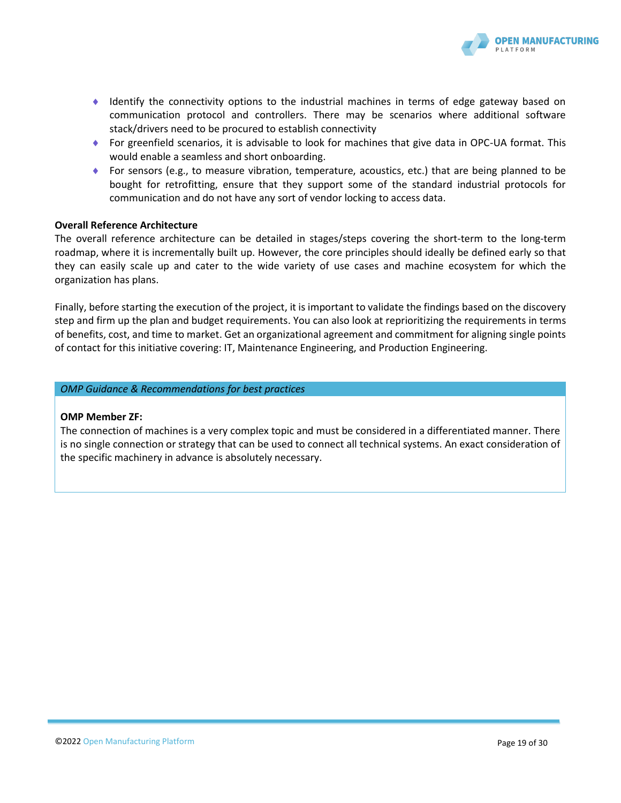

- Identify the connectivity options to the industrial machines in terms of edge gateway based on communication protocol and controllers. There may be scenarios where additional software stack/drivers need to be procured to establish connectivity
- For greenfield scenarios, it is advisable to look for machines that give data in OPC-UA format. This would enable a seamless and short onboarding.
- For sensors (e.g., to measure vibration, temperature, acoustics, etc.) that are being planned to be bought for retrofitting, ensure that they support some of the standard industrial protocols for communication and do not have any sort of vendor locking to access data.

#### **Overall Reference Architecture**

The overall reference architecture can be detailed in stages/steps covering the short-term to the long-term roadmap, where it is incrementally built up. However, the core principles should ideally be defined early so that they can easily scale up and cater to the wide variety of use cases and machine ecosystem for which the organization has plans.

Finally, before starting the execution of the project, it is important to validate the findings based on the discovery step and firm up the plan and budget requirements. You can also look at reprioritizing the requirements in terms of benefits, cost, and time to market. Get an organizational agreement and commitment for aligning single points of contact for this initiative covering: IT, Maintenance Engineering, and Production Engineering.

*OMP Guidance & Recommendations for best practices*

#### **OMP Member ZF:**

The connection of machines is a very complex topic and must be considered in a differentiated manner. There is no single connection or strategy that can be used to connect all technical systems. An exact consideration of the specific machinery in advance is absolutely necessary.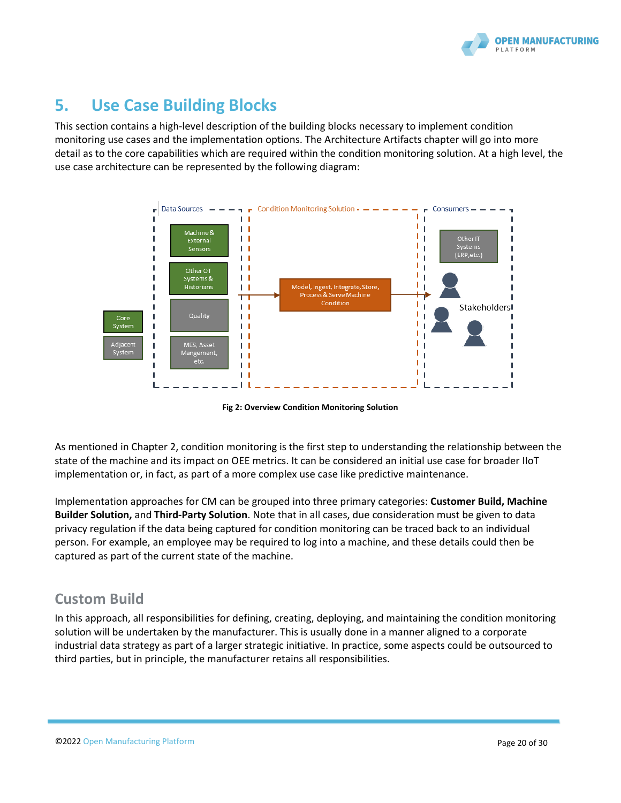

# **5. Use Case Building Blocks**

This section contains a high-level description of the building blocks necessary to implement condition monitoring use cases and the implementation options. The [Architecture Artifacts](#page-23-0) chapter will go into more detail as to the core capabilities which are required within the condition monitoring solution. At a high level, the use case architecture can be represented by the following diagram:



**Fig 2: Overview Condition Monitoring Solution**

As mentioned in Chapter [2,](#page-6-0) condition monitoring is the first step to understanding the relationship between the state of the machine and its impact on OEE metrics. It can be considered an initial use case for broader IIoT implementation or, in fact, as part of a more complex use case like predictive maintenance.

Implementation approaches for CM can be grouped into three primary categories: **Customer Build, Machine Builder Solution,** and **Third-Party Solution**. Note that in all cases, due consideration must be given to data privacy regulation if the data being captured for condition monitoring can be traced back to an individual person. For example, an employee may be required to log into a machine, and these details could then be captured as part of the current state of the machine.

# **Custom Build**

In this approach, all responsibilities for defining, creating, deploying, and maintaining the condition monitoring solution will be undertaken by the manufacturer. This is usually done in a manner aligned to a corporate industrial data strategy as part of a larger strategic initiative. In practice, some aspects could be outsourced to third parties, but in principle, the manufacturer retains all responsibilities.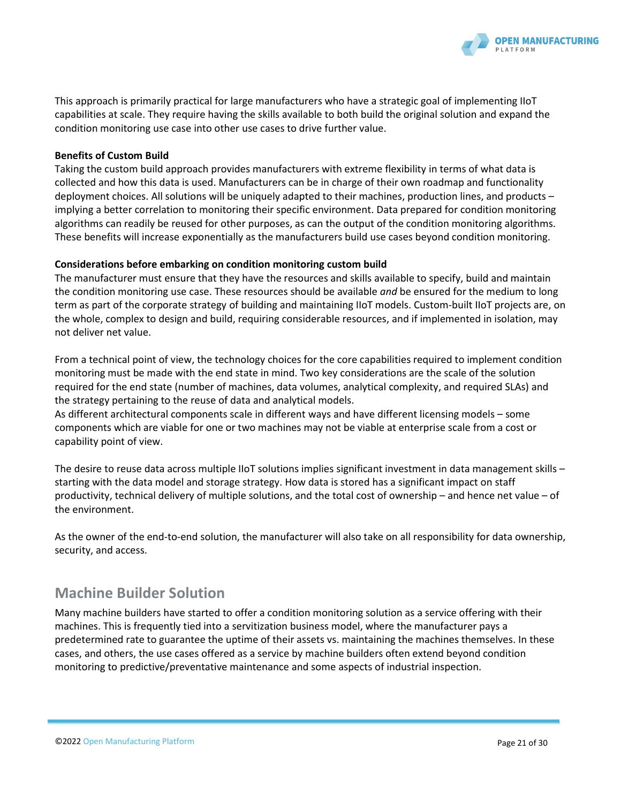

This approach is primarily practical for large manufacturers who have a strategic goal of implementing IIoT capabilities at scale. They require having the skills available to both build the original solution and expand the condition monitoring use case into other use cases to drive further value.

#### **Benefits of Custom Build**

Taking the custom build approach provides manufacturers with extreme flexibility in terms of what data is collected and how this data is used. Manufacturers can be in charge of their own roadmap and functionality deployment choices. All solutions will be uniquely adapted to their machines, production lines, and products – implying a better correlation to monitoring their specific environment. Data prepared for condition monitoring algorithms can readily be reused for other purposes, as can the output of the condition monitoring algorithms. These benefits will increase exponentially as the manufacturers build use cases beyond condition monitoring.

#### **Considerations before embarking on condition monitoring custom build**

The manufacturer must ensure that they have the resources and skills available to specify, build and maintain the condition monitoring use case. These resources should be available *and* be ensured for the medium to long term as part of the corporate strategy of building and maintaining IIoT models. Custom-built IIoT projects are, on the whole, complex to design and build, requiring considerable resources, and if implemented in isolation, may not deliver net value.

From a technical point of view, the technology choices for the core capabilities required to implement condition monitoring must be made with the end state in mind. Two key considerations are the scale of the solution required for the end state (number of machines, data volumes, analytical complexity, and required SLAs) and the strategy pertaining to the reuse of data and analytical models.

As different architectural components scale in different ways and have different licensing models – some components which are viable for one or two machines may not be viable at enterprise scale from a cost or capability point of view.

The desire to reuse data across multiple IIoT solutions implies significant investment in data management skills starting with the data model and storage strategy. How data is stored has a significant impact on staff productivity, technical delivery of multiple solutions, and the total cost of ownership – and hence net value – of the environment.

As the owner of the end-to-end solution, the manufacturer will also take on all responsibility for data ownership, security, and access.

# **Machine Builder Solution**

Many machine builders have started to offer a condition monitoring solution as a service offering with their machines. This is frequently tied into a servitization business model, where the manufacturer pays a predetermined rate to guarantee the uptime of their assets vs. maintaining the machines themselves. In these cases, and others, the use cases offered as a service by machine builders often extend beyond condition monitoring to predictive/preventative maintenance and some aspects of industrial inspection.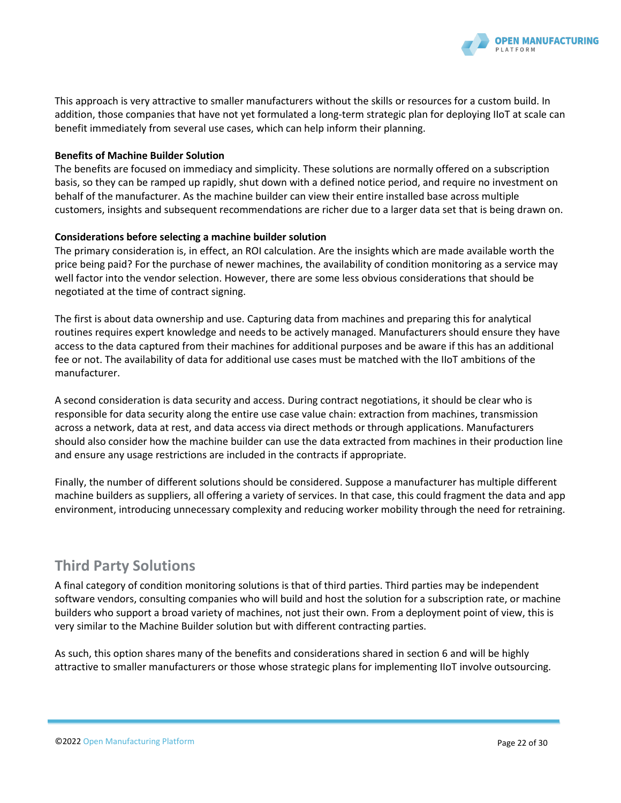

This approach is very attractive to smaller manufacturers without the skills or resources for a custom build. In addition, those companies that have not yet formulated a long-term strategic plan for deploying IIoT at scale can benefit immediately from several use cases, which can help inform their planning.

#### **Benefits of Machine Builder Solution**

The benefits are focused on immediacy and simplicity. These solutions are normally offered on a subscription basis, so they can be ramped up rapidly, shut down with a defined notice period, and require no investment on behalf of the manufacturer. As the machine builder can view their entire installed base across multiple customers, insights and subsequent recommendations are richer due to a larger data set that is being drawn on.

#### **Considerations before selecting a machine builder solution**

The primary consideration is, in effect, an ROI calculation. Are the insights which are made available worth the price being paid? For the purchase of newer machines, the availability of condition monitoring as a service may well factor into the vendor selection. However, there are some less obvious considerations that should be negotiated at the time of contract signing.

The first is about data ownership and use. Capturing data from machines and preparing this for analytical routines requires expert knowledge and needs to be actively managed. Manufacturers should ensure they have access to the data captured from their machines for additional purposes and be aware if this has an additional fee or not. The availability of data for additional use cases must be matched with the IIoT ambitions of the manufacturer.

A second consideration is data security and access. During contract negotiations, it should be clear who is responsible for data security along the entire use case value chain: extraction from machines, transmission across a network, data at rest, and data access via direct methods or through applications. Manufacturers should also consider how the machine builder can use the data extracted from machines in their production line and ensure any usage restrictions are included in the contracts if appropriate.

Finally, the number of different solutions should be considered. Suppose a manufacturer has multiple different machine builders as suppliers, all offering a variety of services. In that case, this could fragment the data and app environment, introducing unnecessary complexity and reducing worker mobility through the need for retraining.

# **Third Party Solutions**

A final category of condition monitoring solutions is that of third parties. Third parties may be independent software vendors, consulting companies who will build and host the solution for a subscription rate, or machine builders who support a broad variety of machines, not just their own. From a deployment point of view, this is very similar to the Machine Builder solution but with different contracting parties.

As such, this option shares many of the benefits and considerations shared in section 6 and will be highly attractive to smaller manufacturers or those whose strategic plans for implementing IIoT involve outsourcing.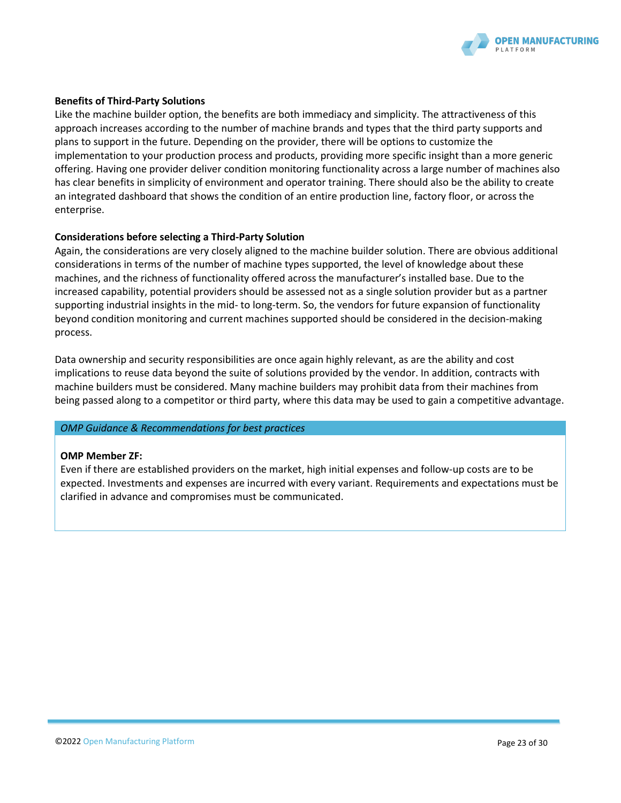

#### **Benefits of Third-Party Solutions**

Like the machine builder option, the benefits are both immediacy and simplicity. The attractiveness of this approach increases according to the number of machine brands and types that the third party supports and plans to support in the future. Depending on the provider, there will be options to customize the implementation to your production process and products, providing more specific insight than a more generic offering. Having one provider deliver condition monitoring functionality across a large number of machines also has clear benefits in simplicity of environment and operator training. There should also be the ability to create an integrated dashboard that shows the condition of an entire production line, factory floor, or across the enterprise.

#### **Considerations before selecting a Third-Party Solution**

Again, the considerations are very closely aligned to the machine builder solution. There are obvious additional considerations in terms of the number of machine types supported, the level of knowledge about these machines, and the richness of functionality offered across the manufacturer's installed base. Due to the increased capability, potential providers should be assessed not as a single solution provider but as a partner supporting industrial insights in the mid- to long-term. So, the vendors for future expansion of functionality beyond condition monitoring and current machines supported should be considered in the decision-making process.

Data ownership and security responsibilities are once again highly relevant, as are the ability and cost implications to reuse data beyond the suite of solutions provided by the vendor. In addition, contracts with machine builders must be considered. Many machine builders may prohibit data from their machines from being passed along to a competitor or third party, where this data may be used to gain a competitive advantage.

#### *OMP Guidance & Recommendations for best practices*

#### **OMP Member ZF:**

Even if there are established providers on the market, high initial expenses and follow-up costs are to be expected. Investments and expenses are incurred with every variant. Requirements and expectations must be clarified in advance and compromises must be communicated.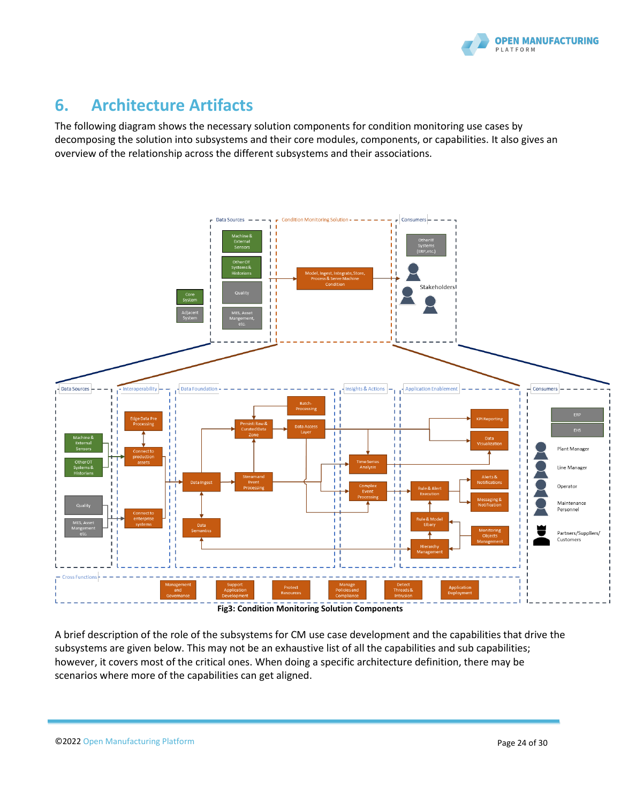

# <span id="page-23-0"></span>**6. Architecture Artifacts**

The following diagram shows the necessary solution components for condition monitoring use cases by decomposing the solution into subsystems and their core modules, components, or capabilities. It also gives an overview of the relationship across the different subsystems and their associations.



**Fig3: Condition Monitoring Solution Components**

A brief description of the role of the subsystems for CM use case development and the capabilities that drive the subsystems are given below. This may not be an exhaustive list of all the capabilities and sub capabilities; however, it covers most of the critical ones. When doing a specific architecture definition, there may be scenarios where more of the capabilities can get aligned.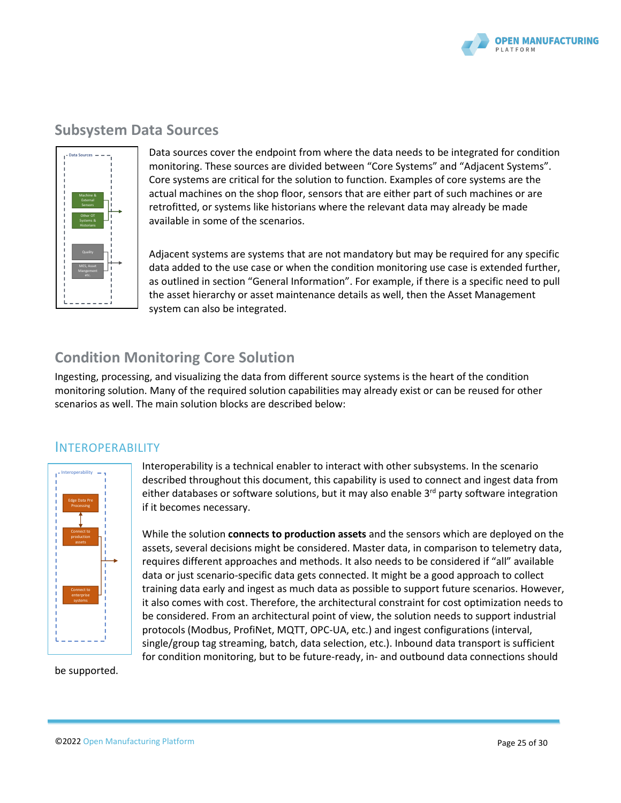

### **Subsystem Data Sources**



Data sources cover the endpoint from where the data needs to be integrated for condition monitoring. These sources are divided between "Core Systems" and "Adjacent Systems". Core systems are critical for the solution to function. Examples of core systems are the actual machines on the shop floor, sensors that are either part of such machines or are retrofitted, or systems like historians where the relevant data may already be made available in some of the scenarios.

Adjacent systems are systems that are not mandatory but may be required for any specific data added to the use case or when the condition monitoring use case is extended further, as outlined in section "General Information". For example, if there is a specific need to pull the asset hierarchy or asset maintenance details as well, then the Asset Management system can also be integrated.

# **Condition Monitoring Core Solution**

Ingesting, processing, and visualizing the data from different source systems is the heart of the condition monitoring solution. Many of the required solution capabilities may already exist or can be reused for other scenarios as well. The main solution blocks are described below:

### INTEROPERABILITY



Interoperability is a technical enabler to interact with other subsystems. In the scenario described throughout this document, this capability is used to connect and ingest data from either databases or software solutions, but it may also enable  $3<sup>rd</sup>$  party software integration if it becomes necessary.

While the solution **connects to production assets** and the sensors which are deployed on the assets, several decisions might be considered. Master data, in comparison to telemetry data, requires different approaches and methods. It also needs to be considered if "all" available data or just scenario-specific data gets connected. It might be a good approach to collect training data early and ingest as much data as possible to support future scenarios. However, it also comes with cost. Therefore, the architectural constraint for cost optimization needs to be considered. From an architectural point of view, the solution needs to support industrial protocols (Modbus, ProfiNet, MQTT, OPC-UA, etc.) and ingest configurations (interval, single/group tag streaming, batch, data selection, etc.). Inbound data transport is sufficient for condition monitoring, but to be future-ready, in- and outbound data connections should

be supported.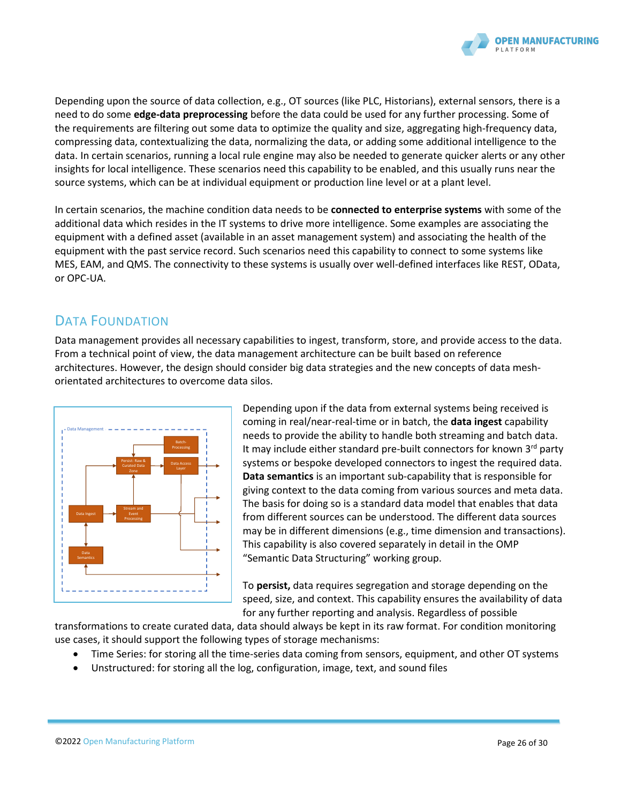

Depending upon the source of data collection, e.g., OT sources (like PLC, Historians), external sensors, there is a need to do some **edge-data preprocessing** before the data could be used for any further processing. Some of the requirements are filtering out some data to optimize the quality and size, aggregating high-frequency data, compressing data, contextualizing the data, normalizing the data, or adding some additional intelligence to the data. In certain scenarios, running a local rule engine may also be needed to generate quicker alerts or any other insights for local intelligence. These scenarios need this capability to be enabled, and this usually runs near the source systems, which can be at individual equipment or production line level or at a plant level.

In certain scenarios, the machine condition data needs to be **connected to enterprise systems** with some of the additional data which resides in the IT systems to drive more intelligence. Some examples are associating the equipment with a defined asset (available in an asset management system) and associating the health of the equipment with the past service record. Such scenarios need this capability to connect to some systems like MES, EAM, and QMS. The connectivity to these systems is usually over well-defined interfaces like REST, OData, or OPC-UA.

# DATA FOUNDATION

Data management provides all necessary capabilities to ingest, transform, store, and provide access to the data. From a technical point of view, the data management architecture can be built based on reference architectures. However, the design should consider big data strategies and the new concepts of data meshorientated architectures to overcome data silos.



Depending upon if the data from external systems being received is coming in real/near-real-time or in batch, the **data ingest** capability needs to provide the ability to handle both streaming and batch data. It may include either standard pre-built connectors for known 3<sup>rd</sup> party systems or bespoke developed connectors to ingest the required data. **Data semantics** is an important sub-capability that is responsible for giving context to the data coming from various sources and meta data. The basis for doing so is a standard data model that enables that data from different sources can be understood. The different data sources may be in different dimensions (e.g., time dimension and transactions). This capability is also covered separately in detail in the OMP "Semantic Data Structuring" working group.

To **persist,** data requires segregation and storage depending on the speed, size, and context. This capability ensures the availability of data for any further reporting and analysis. Regardless of possible

transformations to create curated data, data should always be kept in its raw format. For condition monitoring use cases, it should support the following types of storage mechanisms:

- Time Series: for storing all the time-series data coming from sensors, equipment, and other OT systems
- Unstructured: for storing all the log, configuration, image, text, and sound files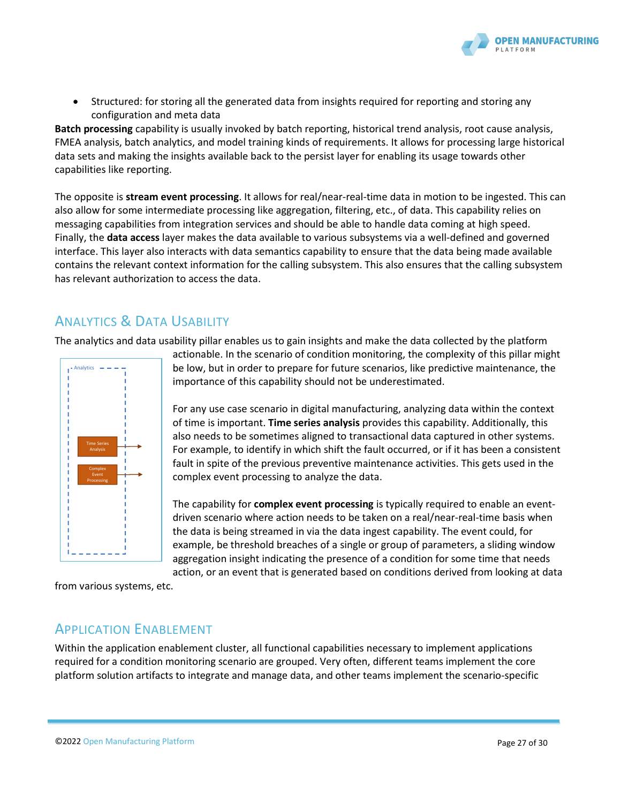

• Structured: for storing all the generated data from insights required for reporting and storing any configuration and meta data

**Batch processing** capability is usually invoked by batch reporting, historical trend analysis, root cause analysis, FMEA analysis, batch analytics, and model training kinds of requirements. It allows for processing large historical data sets and making the insights available back to the persist layer for enabling its usage towards other capabilities like reporting.

The opposite is **stream event processing**. It allows for real/near-real-time data in motion to be ingested. This can also allow for some intermediate processing like aggregation, filtering, etc., of data. This capability relies on messaging capabilities from integration services and should be able to handle data coming at high speed. Finally, the **data access** layer makes the data available to various subsystems via a well-defined and governed interface. This layer also interacts with data semantics capability to ensure that the data being made available contains the relevant context information for the calling subsystem. This also ensures that the calling subsystem has relevant authorization to access the data.

# ANALYTICS & DATA USABILITY

The analytics and data usability pillar enables us to gain insights and make the data collected by the platform



actionable. In the scenario of condition monitoring, the complexity of this pillar might be low, but in order to prepare for future scenarios, like predictive maintenance, the importance of this capability should not be underestimated.

For any use case scenario in digital manufacturing, analyzing data within the context of time is important. **Time series analysis** provides this capability. Additionally, this also needs to be sometimes aligned to transactional data captured in other systems. For example, to identify in which shift the fault occurred, or if it has been a consistent fault in spite of the previous preventive maintenance activities. This gets used in the complex event processing to analyze the data.

The capability for **complex event processing** is typically required to enable an eventdriven scenario where action needs to be taken on a real/near-real-time basis when the data is being streamed in via the data ingest capability. The event could, for example, be threshold breaches of a single or group of parameters, a sliding window aggregation insight indicating the presence of a condition for some time that needs action, or an event that is generated based on conditions derived from looking at data

from various systems, etc.

### APPLICATION ENABLEMENT

Within the application enablement cluster, all functional capabilities necessary to implement applications required for a condition monitoring scenario are grouped. Very often, different teams implement the core platform solution artifacts to integrate and manage data, and other teams implement the scenario-specific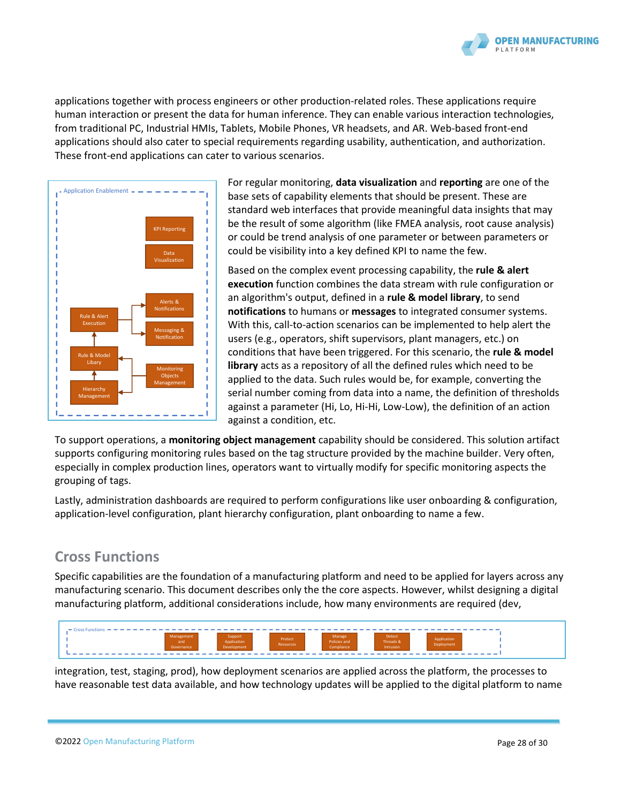

applications together with process engineers or other production-related roles. These applications require human interaction or present the data for human inference. They can enable various interaction technologies, from traditional PC, Industrial HMIs, Tablets, Mobile Phones, VR headsets, and AR. Web-based front-end applications should also cater to special requirements regarding usability, authentication, and authorization. These front-end applications can cater to various scenarios.



For regular monitoring, **data visualization** and **reporting** are one of the base sets of capability elements that should be present. These are standard web interfaces that provide meaningful data insights that may be the result of some algorithm (like FMEA analysis, root cause analysis) or could be trend analysis of one parameter or between parameters or could be visibility into a key defined KPI to name the few.

Based on the complex event processing capability, the **rule & alert execution** function combines the data stream with rule configuration or an algorithm's output, defined in a **rule & model library**, to send **notifications** to humans or **messages** to integrated consumer systems. With this, call-to-action scenarios can be implemented to help alert the users (e.g., operators, shift supervisors, plant managers, etc.) on conditions that have been triggered. For this scenario, the **rule & model library** acts as a repository of all the defined rules which need to be applied to the data. Such rules would be, for example, converting the serial number coming from data into a name, the definition of thresholds against a parameter (Hi, Lo, Hi-Hi, Low-Low), the definition of an action against a condition, etc.

To support operations, a **monitoring object management** capability should be considered. This solution artifact supports configuring monitoring rules based on the tag structure provided by the machine builder. Very often, especially in complex production lines, operators want to virtually modify for specific monitoring aspects the grouping of tags.

Lastly, administration dashboards are required to perform configurations like user onboarding & configuration, application-level configuration, plant hierarchy configuration, plant onboarding to name a few.

# **Cross Functions**

Specific capabilities are the foundation of a manufacturing platform and need to be applied for layers across any manufacturing scenario. This document describes only the the core aspects. However, whilst designing a digital manufacturing platform, additional considerations include, how many environments are required (dev,



integration, test, staging, prod), how deployment scenarios are applied across the platform, the processes to have reasonable test data available, and how technology updates will be applied to the digital platform to name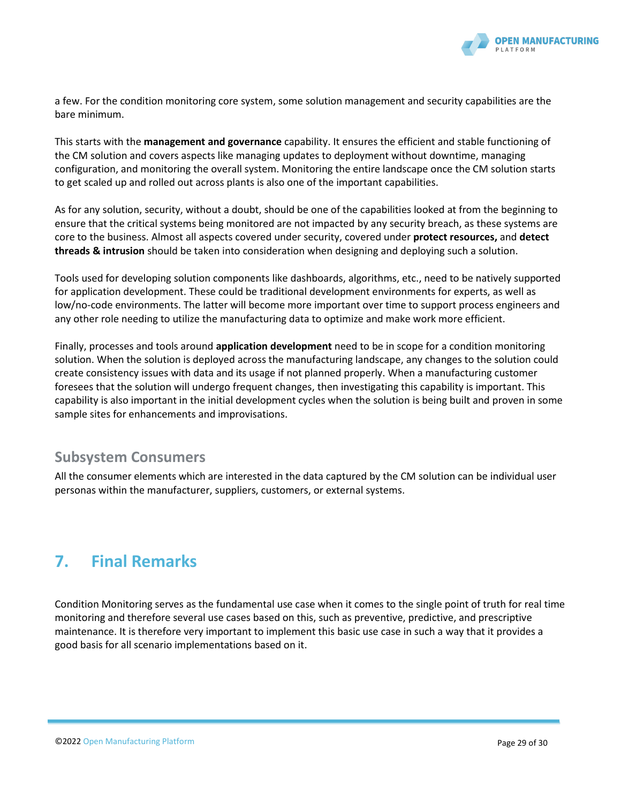

a few. For the condition monitoring core system, some solution management and security capabilities are the bare minimum.

This starts with the **management and governance** capability. It ensures the efficient and stable functioning of the CM solution and covers aspects like managing updates to deployment without downtime, managing configuration, and monitoring the overall system. Monitoring the entire landscape once the CM solution starts to get scaled up and rolled out across plants is also one of the important capabilities.

As for any solution, security, without a doubt, should be one of the capabilities looked at from the beginning to ensure that the critical systems being monitored are not impacted by any security breach, as these systems are core to the business. Almost all aspects covered under security, covered under **protect resources,** and **detect threads & intrusion** should be taken into consideration when designing and deploying such a solution.

Tools used for developing solution components like dashboards, algorithms, etc., need to be natively supported for application development. These could be traditional development environments for experts, as well as low/no-code environments. The latter will become more important over time to support process engineers and any other role needing to utilize the manufacturing data to optimize and make work more efficient.

Finally, processes and tools around **application development** need to be in scope for a condition monitoring solution. When the solution is deployed across the manufacturing landscape, any changes to the solution could create consistency issues with data and its usage if not planned properly. When a manufacturing customer foresees that the solution will undergo frequent changes, then investigating this capability is important. This capability is also important in the initial development cycles when the solution is being built and proven in some sample sites for enhancements and improvisations.

### **Subsystem Consumers**

All the consumer elements which are interested in the data captured by the CM solution can be individual user personas within the manufacturer, suppliers, customers, or external systems.

# **7. Final Remarks**

Condition Monitoring serves as the fundamental use case when it comes to the single point of truth for real time monitoring and therefore several use cases based on this, such as preventive, predictive, and prescriptive maintenance. It is therefore very important to implement this basic use case in such a way that it provides a good basis for all scenario implementations based on it.